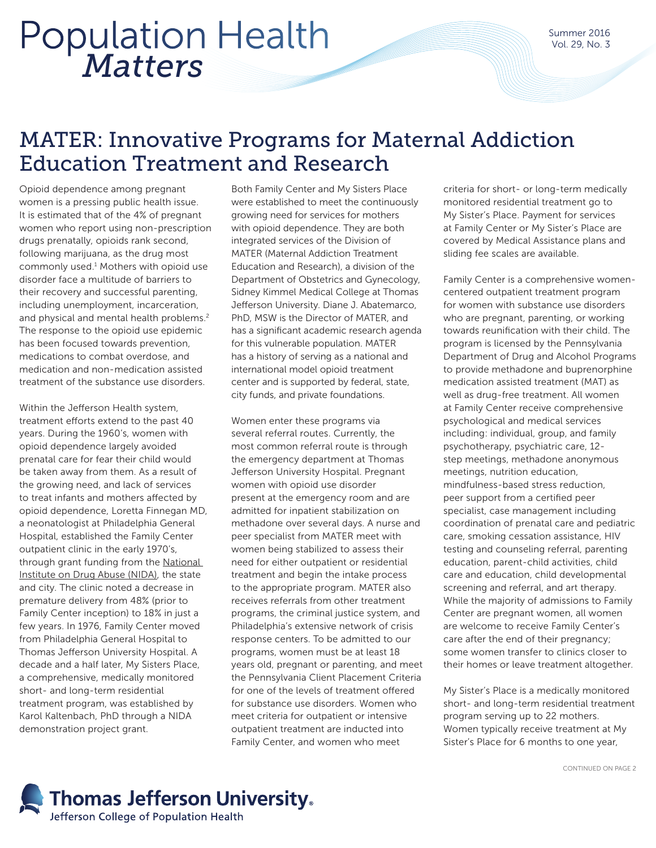# *Matters* Population Health

### MATER: Innovative Programs for Maternal Addiction Education Treatment and Research

Opioid dependence among pregnant women is a pressing public health issue. It is estimated that of the 4% of pregnant women who report using non-prescription drugs prenatally, opioids rank second, following marijuana, as the drug most commonly used.<sup>1</sup> Mothers with opioid use disorder face a multitude of barriers to their recovery and successful parenting, including unemployment, incarceration, and physical and mental health problems.<sup>2</sup> The response to the opioid use epidemic has been focused towards prevention, medications to combat overdose, and medication and non-medication assisted treatment of the substance use disorders.

Within the Jefferson Health system, treatment efforts extend to the past 40 years. During the 1960's, women with opioid dependence largely avoided prenatal care for fear their child would be taken away from them. As a result of the growing need, and lack of services to treat infants and mothers affected by opioid dependence, Loretta Finnegan MD, a neonatologist at Philadelphia General Hospital, established the Family Center outpatient clinic in the early 1970's, through grant funding from the [National](https://www.drugabuse.gov/)  [Institute on Drug Abuse \(NIDA\),](https://www.drugabuse.gov/) the state and city. The clinic noted a decrease in premature delivery from 48% (prior to Family Center inception) to 18% in just a few years. In 1976, Family Center moved from Philadelphia General Hospital to Thomas Jefferson University Hospital. A decade and a half later, My Sisters Place, a comprehensive, medically monitored short- and long-term residential treatment program, was established by Karol Kaltenbach, PhD through a NIDA demonstration project grant.

Both Family Center and My Sisters Place were established to meet the continuously growing need for services for mothers with opioid dependence. They are both integrated services of the Division of MATER (Maternal Addiction Treatment Education and Research), a division of the Department of Obstetrics and Gynecology, Sidney Kimmel Medical College at Thomas Jefferson University. Diane J. Abatemarco, PhD, MSW is the Director of MATER, and has a significant academic research agenda for this vulnerable population. MATER has a history of serving as a national and international model opioid treatment center and is supported by federal, state, city funds, and private foundations.

Women enter these programs via several referral routes. Currently, the most common referral route is through the emergency department at Thomas Jefferson University Hospital. Pregnant women with opioid use disorder present at the emergency room and are admitted for inpatient stabilization on methadone over several days. A nurse and peer specialist from MATER meet with women being stabilized to assess their need for either outpatient or residential treatment and begin the intake process to the appropriate program. MATER also receives referrals from other treatment programs, the criminal justice system, and Philadelphia's extensive network of crisis response centers. To be admitted to our programs, women must be at least 18 years old, pregnant or parenting, and meet the Pennsylvania Client Placement Criteria for one of the levels of treatment offered for substance use disorders. Women who meet criteria for outpatient or intensive outpatient treatment are inducted into Family Center, and women who meet

criteria for short- or long-term medically monitored residential treatment go to My Sister's Place. Payment for services at Family Center or My Sister's Place are covered by Medical Assistance plans and sliding fee scales are available.

Family Center is a comprehensive womencentered outpatient treatment program for women with substance use disorders who are pregnant, parenting, or working towards reunification with their child. The program is licensed by the Pennsylvania Department of Drug and Alcohol Programs to provide methadone and buprenorphine medication assisted treatment (MAT) as well as drug-free treatment. All women at Family Center receive comprehensive psychological and medical services including: individual, group, and family psychotherapy, psychiatric care, 12 step meetings, methadone anonymous meetings, nutrition education, mindfulness-based stress reduction, peer support from a certified peer specialist, case management including coordination of prenatal care and pediatric care, smoking cessation assistance, HIV testing and counseling referral, parenting education, parent-child activities, child care and education, child developmental screening and referral, and art therapy. While the majority of admissions to Family Center are pregnant women, all women are welcome to receive Family Center's care after the end of their pregnancy; some women transfer to clinics closer to their homes or leave treatment altogether.

My Sister's Place is a medically monitored short- and long-term residential treatment program serving up to 22 mothers. Women typically receive treatment at My Sister's Place for 6 months to one year,